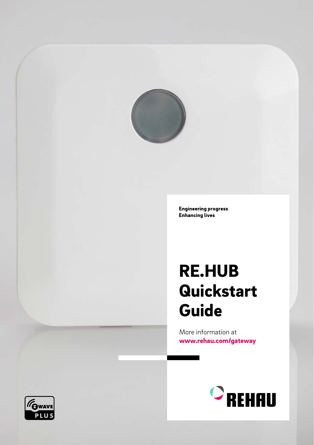

**Engineering progress Enhancing lives** 

# RE.HUB Quickstart Guide

More information at [www.rehau.com/gateway](http://www.rehau.com/gateway)



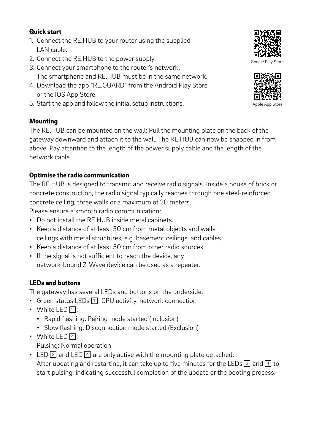### Quick start

- 1. Connect the RE.HUB to your router using the supplied LAN cable.
- 2. Connect the RE.HUB to the power supply.
- 3. Connect your smartphone to the router's network. The smartphone and RE.HUB must be in the same network.
- 4. Download the app "RE.GUARD" from the Android Play Store or the IOS App Store.
- 5. Start the app and follow the initial setup instructions.

## Mounting

The RE.HUB can be mounted on the wall: Pull the mounting plate on the back of the gateway downward and attach it to the wall. The RE.HUB can now be snapped in from above. Pay attention to the length of the power supply cable and the length of the network cable.

# Optimise the radio communication

The RE.HUB is designed to transmit and receive radio signals. Inside a house of brick or concrete construction, the radio signal typically reaches through one steel-reinforced concrete ceiling, three walls or a maximum of 20 meters.

Please ensure a smooth radio communication:

- Do not install the RE.HUB inside metal cabinets.
- Keep a distance of at least 50 cm from metal objects and walls, ceilings with metal structures, e.g. basement ceilings, and cables.
- Keep a distance of at least 50 cm from other radio sources.
- If the signal is not sufficient to reach the device, any network-bound Z-Wave device can be used as a repeater.

# LEDs and buttons

The gateway has several LEDs and buttons on the underside:

- **•** Green status LEDs  $\boxed{1}$ : CPU activity, network connection
- $\bullet$  White LED  $\boxed{2}$ :
	- Rapid flashing: Pairing mode started (Inclusion)
	- Slow flashing: Disconnection mode started (Exclusion)
- $\bullet$  White LED  $\boxed{4}$ :

Pulsing: Normal operation

**•** LED  $\boxed{3}$  and LED  $\boxed{4}$  are only active with the mounting plate detached: After updating and restarting, it can take up to five minutes for the LEDs  $\boxed{3}$  and  $\boxed{4}$  to start pulsing, indicating successful completion of the update or the booting process.



Google Play Store



Apple App Store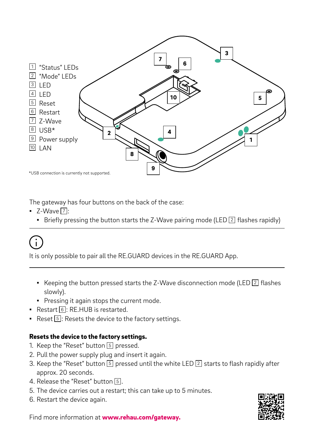

The gateway has four buttons on the back of the case:

- $\blacksquare$  Z-Wave  $\boxed{7}$ :
	- **•** Briefly pressing the button starts the Z-Wave pairing mode (LED  $\boxed{2}$  flashes rapidly)

# $\mathbf{r}_1$

It is only possible to pair all the RE.GUARD devices in the RE.GUARD App.

- **•** Keeping the button pressed starts the Z-Wave disconnection mode (LED  $\boxed{2}$  flashes slowly).
- Pressing it again stops the current mode.
- $\blacksquare$  Restart  $\lceil 6 \rceil$ : RE.HUB is restarted.
- **•** Reset  $\boxed{5}$ : Resets the device to the factory settings.

# Resets the device to the factory settings.

- 1. Keep the "Reset" button  $\overline{5}$  pressed.
- 2. Pull the power supply plug and insert it again.
- 3. Keep the "Reset" button  $\boxed{5}$  pressed until the white LED  $\boxed{2}$  starts to flash rapidly after approx. 20 seconds.
- 4. Release the "Reset" button [5].
- 5. The device carries out a restart; this can take up to 5 minutes.
- 6. Restart the device again.



Find more information at [www.rehau.com/gateway](http://www.rehau.com/gateway).